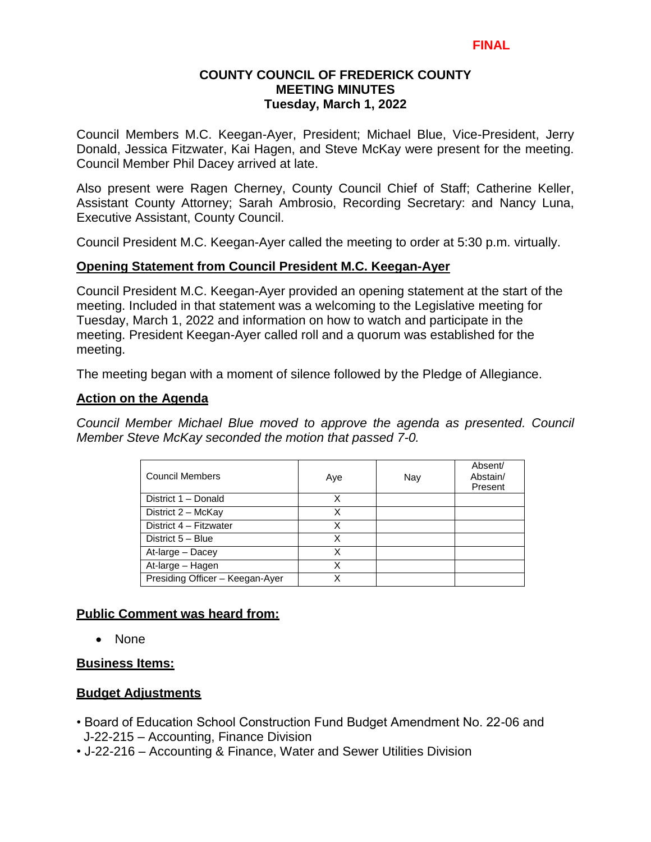Council Members M.C. Keegan-Ayer, President; Michael Blue, Vice-President, Jerry Donald, Jessica Fitzwater, Kai Hagen, and Steve McKay were present for the meeting. Council Member Phil Dacey arrived at late.

Also present were Ragen Cherney, County Council Chief of Staff; Catherine Keller, Assistant County Attorney; Sarah Ambrosio, Recording Secretary: and Nancy Luna, Executive Assistant, County Council.

Council President M.C. Keegan-Ayer called the meeting to order at 5:30 p.m. virtually.

# **Opening Statement from Council President M.C. Keegan-Ayer**

Council President M.C. Keegan-Ayer provided an opening statement at the start of the meeting. Included in that statement was a welcoming to the Legislative meeting for Tuesday, March 1, 2022 and information on how to watch and participate in the meeting. President Keegan-Ayer called roll and a quorum was established for the meeting.

The meeting began with a moment of silence followed by the Pledge of Allegiance.

# **Action on the Agenda**

*Council Member Michael Blue moved to approve the agenda as presented. Council Member Steve McKay seconded the motion that passed 7-0.*

| <b>Council Members</b>          | Aye | Nay | Absent/<br>Abstain/<br>Present |
|---------------------------------|-----|-----|--------------------------------|
| District 1 - Donald             | X   |     |                                |
| District 2 - McKay              | x   |     |                                |
| District 4 - Fitzwater          | X   |     |                                |
| District 5 - Blue               | X   |     |                                |
| At-large - Dacey                | X   |     |                                |
| At-large - Hagen                | X   |     |                                |
| Presiding Officer - Keegan-Ayer | x   |     |                                |

# **Public Comment was heard from:**

• None

# **Business Items:**

# **Budget Adjustments**

- Board of Education School Construction Fund Budget Amendment No. 22-06 and J-22-215 – Accounting, Finance Division
- J-22-216 Accounting & Finance, Water and Sewer Utilities Division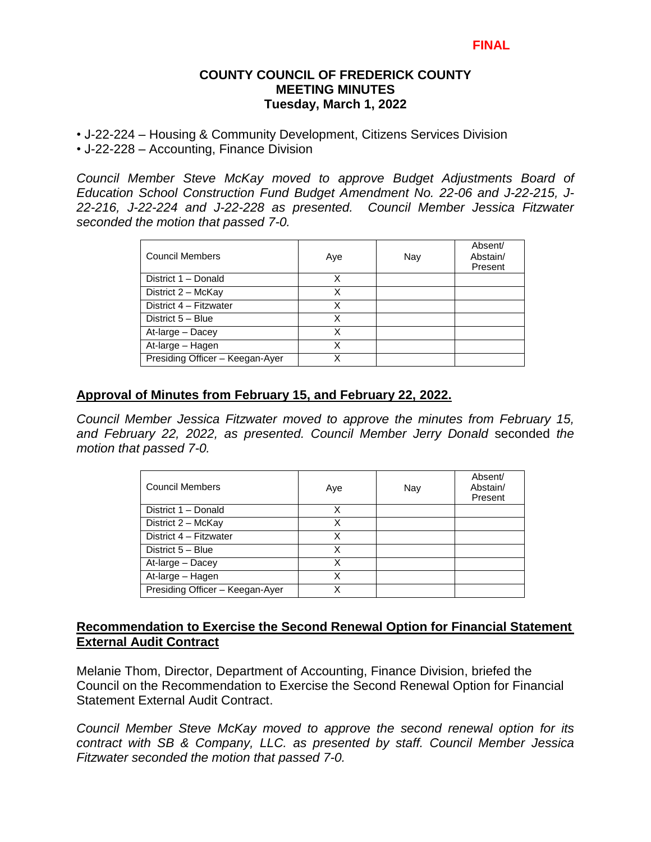- J-22-224 Housing & Community Development, Citizens Services Division
- J-22-228 Accounting, Finance Division

*Council Member Steve McKay moved to approve Budget Adjustments Board of Education School Construction Fund Budget Amendment No. 22-06 and J-22-215, J-22-216, J-22-224 and J-22-228 as presented. Council Member Jessica Fitzwater seconded the motion that passed 7-0.* 

| <b>Council Members</b>          | Aye | Nay | Absent/<br>Abstain/<br>Present |
|---------------------------------|-----|-----|--------------------------------|
| District 1 - Donald             | X   |     |                                |
| District 2 - McKay              | X   |     |                                |
| District 4 - Fitzwater          | X   |     |                                |
| District 5 - Blue               | X   |     |                                |
| At-large - Dacey                | X   |     |                                |
| At-large - Hagen                | X   |     |                                |
| Presiding Officer - Keegan-Ayer | x   |     |                                |

### **Approval of Minutes from February 15, and February 22, 2022.**

*Council Member Jessica Fitzwater moved to approve the minutes from February 15, and February 22, 2022, as presented. Council Member Jerry Donald* seconded *the motion that passed 7-0.* 

| Council Members                 | Aye | Nay | Absent/<br>Abstain/<br>Present |
|---------------------------------|-----|-----|--------------------------------|
| District 1 - Donald             | X   |     |                                |
| District 2 - McKay              | X   |     |                                |
| District 4 - Fitzwater          | Χ   |     |                                |
| District 5 - Blue               | Χ   |     |                                |
| At-large - Dacey                | Χ   |     |                                |
| At-large - Hagen                | x   |     |                                |
| Presiding Officer - Keegan-Ayer |     |     |                                |

# **Recommendation to Exercise the Second Renewal Option for Financial Statement External Audit Contract**

Melanie Thom, Director, Department of Accounting, Finance Division, briefed the Council on the Recommendation to Exercise the Second Renewal Option for Financial Statement External Audit Contract.

*Council Member Steve McKay moved to approve the second renewal option for its contract with SB & Company, LLC. as presented by staff. Council Member Jessica Fitzwater seconded the motion that passed 7-0.*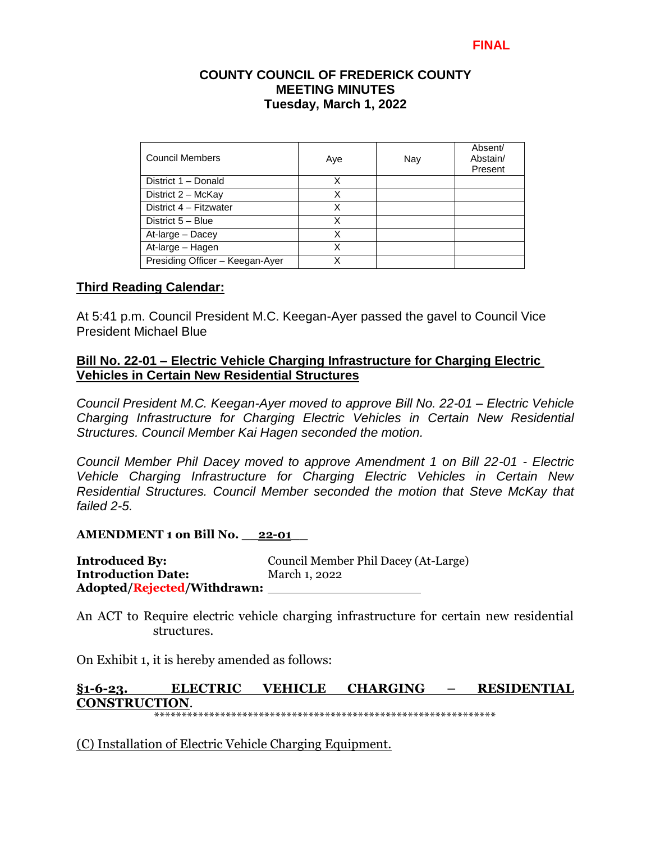| Council Members                 | Aye | Nay | Absent/<br>Abstain/<br>Present |
|---------------------------------|-----|-----|--------------------------------|
| District 1 - Donald             | X   |     |                                |
| District 2 - McKay              | X   |     |                                |
| District 4 - Fitzwater          | x   |     |                                |
| District 5 - Blue               | х   |     |                                |
| At-large - Dacey                | х   |     |                                |
| At-large - Hagen                | Χ   |     |                                |
| Presiding Officer - Keegan-Ayer | x   |     |                                |

### **Third Reading Calendar:**

At 5:41 p.m. Council President M.C. Keegan-Ayer passed the gavel to Council Vice President Michael Blue

### **Bill No. 22-01 – Electric Vehicle Charging Infrastructure for Charging Electric Vehicles in Certain New Residential Structures**

*Council President M.C. Keegan-Ayer moved to approve Bill No. 22-01 – Electric Vehicle Charging Infrastructure for Charging Electric Vehicles in Certain New Residential Structures. Council Member Kai Hagen seconded the motion.*

*Council Member Phil Dacey moved to approve Amendment 1 on Bill 22-01 - Electric Vehicle Charging Infrastructure for Charging Electric Vehicles in Certain New Residential Structures. Council Member seconded the motion that Steve McKay that failed 2-5.*

### **AMENDMENT 1 on Bill No. \_\_22-01\_\_**

**Introduced By:** Council Member Phil Dacey (At-Large) **Introduction Date:** March 1, 2022 **Adopted/Rejected/Withdrawn:**

An ACT to Require electric vehicle charging infrastructure for certain new residential structures.

On Exhibit 1, it is hereby amended as follows:

#### **§1-6-23. ELECTRIC VEHICLE CHARGING – RESIDENTIAL CONSTRUCTION**. \*\*\*\*\*\*\*\*\*\*\*\*\*\*\*\*\*\*\*\*\*\*\*\*\*\*\*\*\*\*\*\*\*\*\*\*\*\*\*\*\*\*\*\*\*\*\*\*\*\*\*\*\*\*\*\*\*\*\*\*\*\*

(C) Installation of Electric Vehicle Charging Equipment.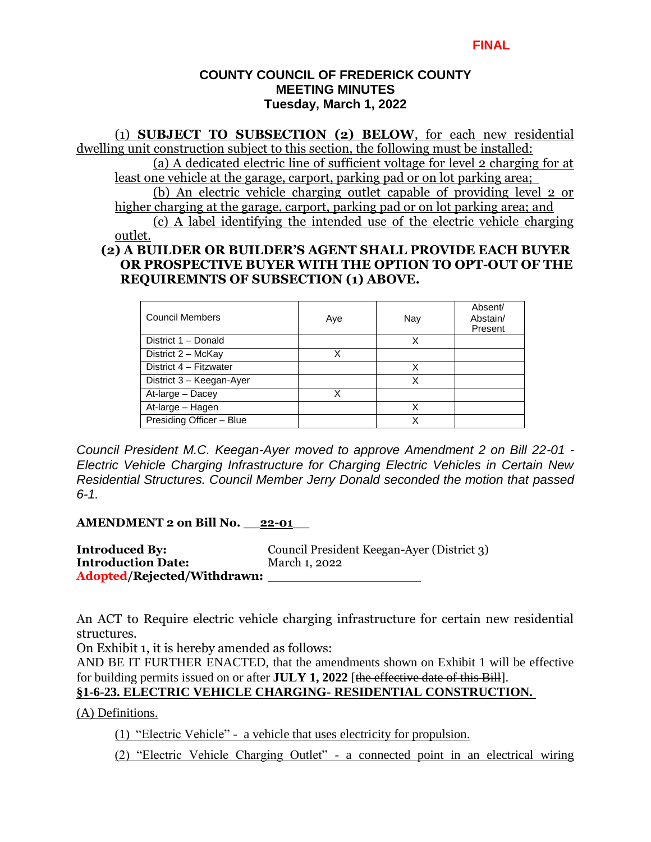### (1) **SUBJECT TO SUBSECTION (2) BELOW**, for each new residential dwelling unit construction subject to this section, the following must be installed: (a) A dedicated electric line of sufficient voltage for level 2 charging for at least one vehicle at the garage, carport, parking pad or on lot parking area; (b) An electric vehicle charging outlet capable of providing level 2 or higher charging at the garage, carport, parking pad or on lot parking area; and (c) A label identifying the intended use of the electric vehicle charging outlet. **(2) A BUILDER OR BUILDER'S AGENT SHALL PROVIDE EACH BUYER OR PROSPECTIVE BUYER WITH THE OPTION TO OPT-OUT OF THE**

#### Council Members **Aye** Aye Nay Absent/ Abstain/ Present District 1 – Donald X District 2 – McKay  $\overline{X}$ District 4 – Fitzwater **X** District 3 – Keegan-Ayer **X** At-large – Dacey X At-large – Hagen **X** Presiding Officer – Blue XX

*Council President M.C. Keegan-Ayer moved to approve Amendment 2 on Bill 22-01 - Electric Vehicle Charging Infrastructure for Charging Electric Vehicles in Certain New Residential Structures. Council Member Jerry Donald seconded the motion that passed 6-1.*

**AMENDMENT 2 on Bill No. \_\_22-01\_\_** 

**Introduced By:** Council President Keegan-Ayer (District 3) **Introduction Date:** March 1, 2022 **Adopted/Rejected/Withdrawn:**

**REQUIREMNTS OF SUBSECTION (1) ABOVE.**

An ACT to Require electric vehicle charging infrastructure for certain new residential structures.

On Exhibit 1, it is hereby amended as follows:

AND BE IT FURTHER ENACTED, that the amendments shown on Exhibit 1 will be effective for building permits issued on or after **JULY 1, 2022** [the effective date of this Bill].

# **§1-6-23. ELECTRIC VEHICLE CHARGING- RESIDENTIAL CONSTRUCTION.**

(A) Definitions.

(1) "Electric Vehicle" - a vehicle that uses electricity for propulsion.

(2) "Electric Vehicle Charging Outlet" - a connected point in an electrical wiring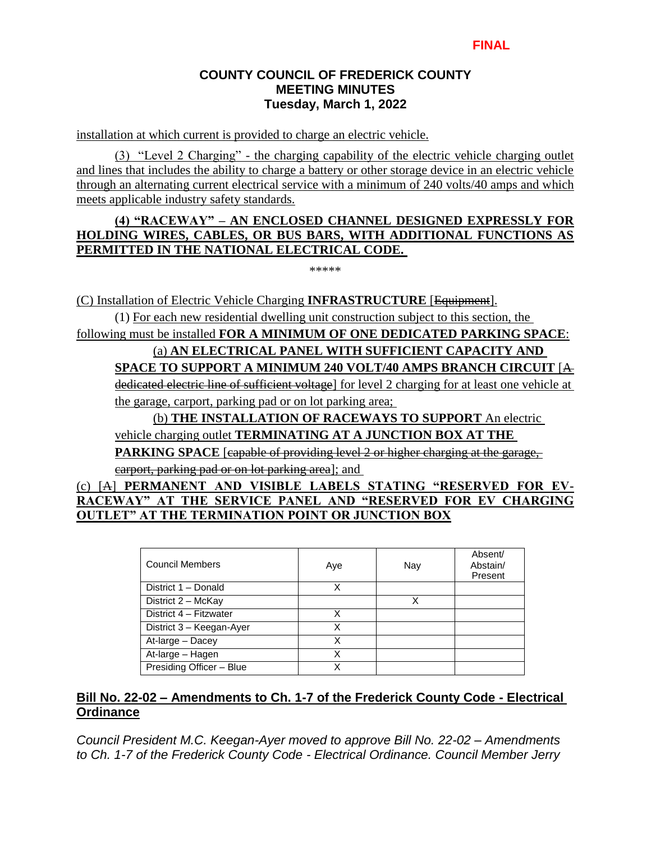installation at which current is provided to charge an electric vehicle.

(3) "Level 2 Charging" - the charging capability of the electric vehicle charging outlet and lines that includes the ability to charge a battery or other storage device in an electric vehicle through an alternating current electrical service with a minimum of 240 volts/40 amps and which meets applicable industry safety standards.

### **(4) "RACEWAY" – AN ENCLOSED CHANNEL DESIGNED EXPRESSLY FOR HOLDING WIRES, CABLES, OR BUS BARS, WITH ADDITIONAL FUNCTIONS AS PERMITTED IN THE NATIONAL ELECTRICAL CODE.**

\*\*\*\*\*

(C) Installation of Electric Vehicle Charging **INFRASTRUCTURE** [Equipment].

(1) For each new residential dwelling unit construction subject to this section, the

following must be installed **FOR A MINIMUM OF ONE DEDICATED PARKING SPACE**:

# (a) **AN ELECTRICAL PANEL WITH SUFFICIENT CAPACITY AND**

# **SPACE TO SUPPORT A MINIMUM 240 VOLT/40 AMPS BRANCH CIRCUIT** [A

dedicated electric line of sufficient voltage] for level 2 charging for at least one vehicle at the garage, carport, parking pad or on lot parking area;

# (b) **THE INSTALLATION OF RACEWAYS TO SUPPORT** An electric

# vehicle charging outlet **TERMINATING AT A JUNCTION BOX AT THE**

**PARKING SPACE** [eapable of providing level 2 or higher charging at the garage.

carport, parking pad or on lot parking area]; and

# (c) [A] **PERMANENT AND VISIBLE LABELS STATING "RESERVED FOR EV-RACEWAY" AT THE SERVICE PANEL AND "RESERVED FOR EV CHARGING OUTLET" AT THE TERMINATION POINT OR JUNCTION BOX**

| <b>Council Members</b>   | Aye | Nay | Absent/<br>Abstain/<br>Present |
|--------------------------|-----|-----|--------------------------------|
| District 1 - Donald      | Χ   |     |                                |
| District 2 - McKay       |     |     |                                |
| District 4 - Fitzwater   | Χ   |     |                                |
| District 3 - Keegan-Ayer | X   |     |                                |
| At-large - Dacey         | x   |     |                                |
| At-large - Hagen         | x   |     |                                |
| Presiding Officer - Blue |     |     |                                |

# **Bill No. 22-02 – Amendments to Ch. 1-7 of the Frederick County Code - Electrical Ordinance**

*Council President M.C. Keegan-Ayer moved to approve Bill No. 22-02 – Amendments to Ch. 1-7 of the Frederick County Code - Electrical Ordinance. Council Member Jerry*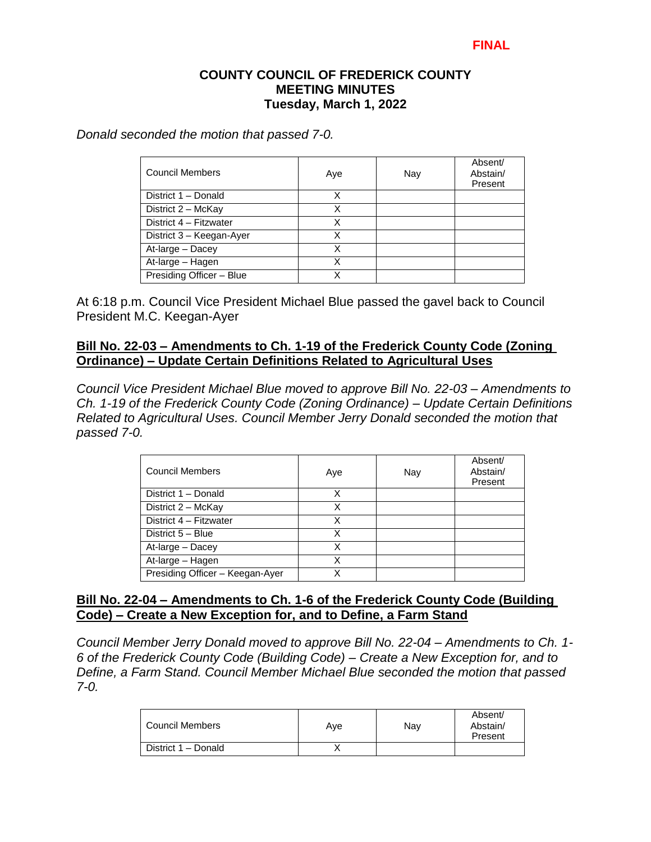*Donald seconded the motion that passed 7-0.*

| <b>Council Members</b>   | Aye | Nay | Absent/<br>Abstain/<br>Present |
|--------------------------|-----|-----|--------------------------------|
| District 1 - Donald      | X   |     |                                |
| District 2 - McKay       | х   |     |                                |
| District 4 - Fitzwater   | Χ   |     |                                |
| District 3 - Keegan-Ayer | x   |     |                                |
| At-large - Dacey         | X   |     |                                |
| At-large - Hagen         | x   |     |                                |
| Presiding Officer - Blue | χ   |     |                                |

At 6:18 p.m. Council Vice President Michael Blue passed the gavel back to Council President M.C. Keegan-Ayer

# **Bill No. 22-03 – Amendments to Ch. 1-19 of the Frederick County Code (Zoning Ordinance) – Update Certain Definitions Related to Agricultural Uses**

*Council Vice President Michael Blue moved to approve Bill No. 22-03 – Amendments to Ch. 1-19 of the Frederick County Code (Zoning Ordinance) – Update Certain Definitions Related to Agricultural Uses. Council Member Jerry Donald seconded the motion that passed 7-0.*

| Council Members                 | Aye | Nay | Absent/<br>Abstain/<br>Present |
|---------------------------------|-----|-----|--------------------------------|
| District 1 - Donald             | x   |     |                                |
| District 2 - McKay              | х   |     |                                |
| District 4 - Fitzwater          | X   |     |                                |
| District 5 - Blue               | х   |     |                                |
| At-large - Dacey                | Χ   |     |                                |
| At-large - Hagen                | χ   |     |                                |
| Presiding Officer - Keegan-Ayer | x   |     |                                |

# **Bill No. 22-04 – Amendments to Ch. 1-6 of the Frederick County Code (Building Code) – Create a New Exception for, and to Define, a Farm Stand**

*Council Member Jerry Donald moved to approve Bill No. 22-04 – Amendments to Ch. 1- 6 of the Frederick County Code (Building Code) – Create a New Exception for, and to Define, a Farm Stand. Council Member Michael Blue seconded the motion that passed 7-0.*

| Council Members     | Ave | Nav | Absent/<br>Abstain/<br>Present |
|---------------------|-----|-----|--------------------------------|
| District 1 - Donald |     |     |                                |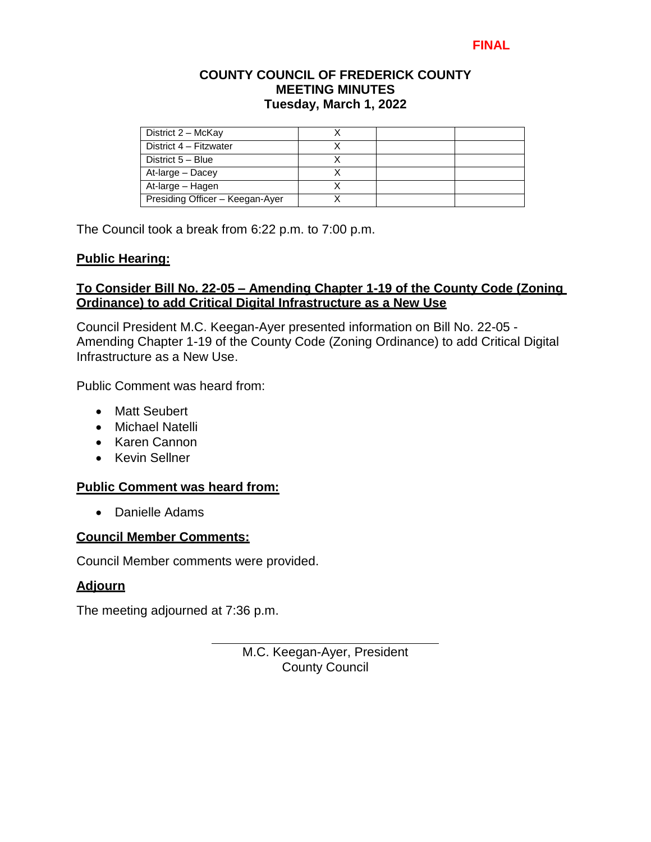# **FINAL**

### **COUNTY COUNCIL OF FREDERICK COUNTY MEETING MINUTES Tuesday, March 1, 2022**

| District 2 - McKay              |  |  |
|---------------------------------|--|--|
| District 4 - Fitzwater          |  |  |
| District 5 - Blue               |  |  |
| At-large - Dacey                |  |  |
| At-large - Hagen                |  |  |
| Presiding Officer - Keegan-Ayer |  |  |

The Council took a break from 6:22 p.m. to 7:00 p.m.

### **Public Hearing:**

### **To Consider Bill No. 22-05 – Amending Chapter 1-19 of the County Code (Zoning Ordinance) to add Critical Digital Infrastructure as a New Use**

Council President M.C. Keegan-Ayer presented information on Bill No. 22-05 - Amending Chapter 1-19 of the County Code (Zoning Ordinance) to add Critical Digital Infrastructure as a New Use.

Public Comment was heard from:

- Matt Seubert
- Michael Natelli
- Karen Cannon
- Kevin Sellner

### **Public Comment was heard from:**

Danielle Adams

### **Council Member Comments:**

Council Member comments were provided.

### **Adjourn**

The meeting adjourned at 7:36 p.m.

M.C. Keegan-Ayer, President County Council